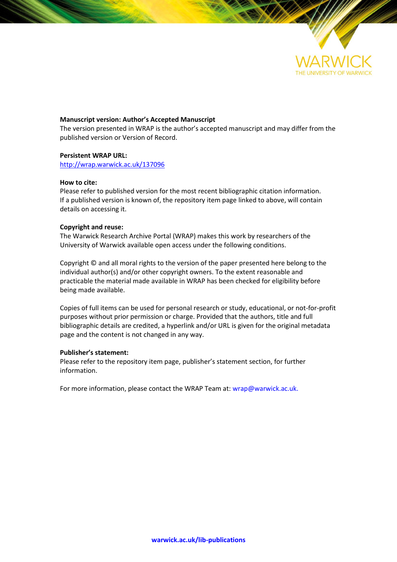

# **Manuscript version: Author's Accepted Manuscript**

The version presented in WRAP is the author's accepted manuscript and may differ from the published version or Version of Record.

## **Persistent WRAP URL:**

<http://wrap.warwick.ac.uk/137096>

## **How to cite:**

Please refer to published version for the most recent bibliographic citation information. If a published version is known of, the repository item page linked to above, will contain details on accessing it.

## **Copyright and reuse:**

The Warwick Research Archive Portal (WRAP) makes this work by researchers of the University of Warwick available open access under the following conditions.

Copyright © and all moral rights to the version of the paper presented here belong to the individual author(s) and/or other copyright owners. To the extent reasonable and practicable the material made available in WRAP has been checked for eligibility before being made available.

Copies of full items can be used for personal research or study, educational, or not-for-profit purposes without prior permission or charge. Provided that the authors, title and full bibliographic details are credited, a hyperlink and/or URL is given for the original metadata page and the content is not changed in any way.

## **Publisher's statement:**

Please refer to the repository item page, publisher's statement section, for further information.

For more information, please contact the WRAP Team at[: wrap@warwick.ac.uk.](mailto:wrap@warwick.ac.uk)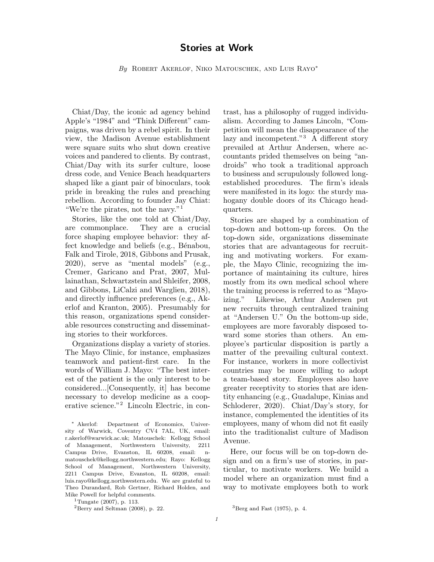# Stories at Work

By ROBERT AKERLOF, NIKO MATOUSCHEK, AND LUIS RAYO<sup>\*</sup>

Chiat/Day, the iconic ad agency behind Apple's "1984" and "Think Different" campaigns, was driven by a rebel spirit. In their view, the Madison Avenue establishment were square suits who shut down creative voices and pandered to clients. By contrast, Chiat/Day with its surfer culture, loose dress code, and Venice Beach headquarters shaped like a giant pair of binoculars, took pride in breaking the rules and preaching rebellion. According to founder Jay Chiat: "We're the pirates, not the navy."<sup>1</sup>

Stories, like the one told at Chiat/Day, are commonplace. They are a crucial force shaping employee behavior: they affect knowledge and beliefs (e.g., Bénabou, Falk and Tirole, 2018, Gibbons and Prusak, 2020), serve as "mental models" (e.g., Cremer, Garicano and Prat, 2007, Mullainathan, Schwartzstein and Shleifer, 2008, and Gibbons, LiCalzi and Warglien, 2018), and directly influence preferences (e.g., Akerlof and Kranton, 2005). Presumably for this reason, organizations spend considerable resources constructing and disseminating stories to their workforces.

Organizations display a variety of stories. The Mayo Clinic, for instance, emphasizes teamwork and patient-first care. In the words of William J. Mayo: "The best interest of the patient is the only interest to be considered...[Consequently, it] has become necessary to develop medicine as a cooperative science."<sup>2</sup> Lincoln Electric, in con-

<sup>1</sup>Tungate (2007), p. 113.

 $2$ Berry and Seltman (2008), p. 22.

trast, has a philosophy of rugged individualism. According to James Lincoln, "Competition will mean the disappearance of the lazy and incompetent."<sup>3</sup>  $\widehat{A}$  different story prevailed at Arthur Andersen, where accountants prided themselves on being "androids" who took a traditional approach to business and scrupulously followed longestablished procedures. The firm's ideals were manifested in its logo: the sturdy mahogany double doors of its Chicago headquarters.

Stories are shaped by a combination of top-down and bottom-up forces. On the top-down side, organizations disseminate stories that are advantageous for recruiting and motivating workers. For example, the Mayo Clinic, recognizing the importance of maintaining its culture, hires mostly from its own medical school where the training process is referred to as "Mayoizing." Likewise, Arthur Andersen put new recruits through centralized training at "Andersen U." On the bottom-up side, employees are more favorably disposed toward some stories than others. An employee's particular disposition is partly a matter of the prevailing cultural context. For instance, workers in more collectivist countries may be more willing to adopt a team-based story. Employees also have greater receptivity to stories that are identity enhancing (e.g., Guadalupe, Kinias and Schloderer, 2020). Chiat/Day's story, for instance, complemented the identities of its employees, many of whom did not fit easily into the traditionalist culture of Madison Avenue.

Here, our focus will be on top-down design and on a firm's use of stories, in particular, to motivate workers. We build a model where an organization must find a way to motivate employees both to work

<sup>∗</sup> Akerlof: Department of Economics, University of Warwick, Coventry CV4 7AL, UK, email: r.akerlof@warwick.ac.uk; Matouschek: Kellogg School of Management, Northwestern University, 2211 Campus Drive, Evanston, IL 60208, email: nmatouschek@kellogg.northwestern.edu; Rayo: Kellogg School of Management, Northwestern University, 2211 Campus Drive, Evanston, IL 60208, email: luis.rayo@kellogg.northwestern.edu. We are grateful to Theo Durandard, Rob Gertner, Richard Holden, and Mike Powell for helpful comments.

 ${}^{3}$ Berg and Fast (1975), p. 4.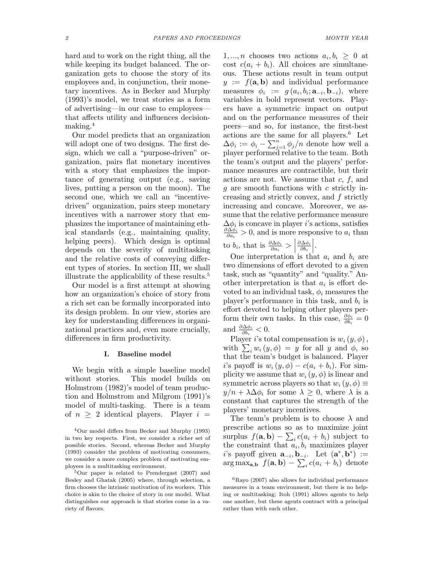hard and to work on the right thing, all the while keeping its budget balanced. The organization gets to choose the story of its employees and, in conjunction, their monetary incentives. As in Becker and Murphy (1993)'s model, we treat stories as a form of advertising—in our case to employees that affects utility and influences decisionmaking.<sup>4</sup>

Our model predicts that an organization will adopt one of two designs. The first design, which we call a "purpose-driven" organization, pairs flat monetary incentives with a story that emphasizes the importance of generating output (e.g., saving lives, putting a person on the moon). The second one, which we call an "incentivedriven" organization, pairs steep monetary incentives with a narrower story that emphasizes the importance of maintaining ethical standards (e.g., maintaining quality, helping peers). Which design is optimal depends on the severity of multitasking and the relative costs of conveying different types of stories. In section III, we shall illustrate the applicability of these results.<sup>5</sup>

Our model is a first attempt at showing how an organization's choice of story from a rich set can be formally incorporated into its design problem. In our view, stories are key for understanding differences in organizational practices and, even more crucially, differences in firm productivity.

## I. Baseline model

We begin with a simple baseline model without stories. This model builds on Holmstrom (1982)'s model of team production and Holmstrom and Milgrom (1991)'s model of multi-tasking. There is a team of  $n \geq 2$  identical players. Player  $i =$ 

 $1, ..., n$  chooses two actions  $a_i, b_i \geq 0$  at cost  $c(a_i + b_i)$ . All choices are simultaneous. These actions result in team output  $y := f(\mathbf{a}, \mathbf{b})$  and individual performance measures  $\phi_i := g(a_i, b_i; \mathbf{a}_{-i}, \mathbf{b}_{-i}), \text{ where}$ variables in bold represent vectors. Players have a symmetric impact on output and on the performance measures of their peers—and so, for instance, the first-best actions are the same for all players.<sup>6</sup> Let  $\Delta \phi_i := \phi_i - \sum_{j=1}^n \phi_j/n$  denote how well a player performed relative to the team. Both the team's output and the players' performance measures are contractible, but their actions are not. We assume that  $c, f$ , and  $g$  are smooth functions with  $c$  strictly increasing and strictly convex, and f strictly increasing and concave. Moreover, we assume that the relative performance measure  $\Delta\phi_i$  is concave in player *i*'s actions, satisfies  $\partial \Delta \phi_i$  $\frac{\partial \Delta \phi_i}{\partial a_i} > 0$ , and is more responsive to  $a_i$  than to  $b_i$ , that is  $\frac{\partial \Delta \phi_i}{\partial a_i} >$  $\partial \Delta \phi_i$  $\partial b_i$  $\Big\}$ .

One interpretation is that  $a_i$  and  $b_i$  are two dimensions of effort devoted to a given task, such as "quantity" and "quality." Another interpretation is that  $a_i$  is effort devoted to an individual task,  $\phi_i$  measures the player's performance in this task, and  $b_i$  is effort devoted to helping other players perform their own tasks. In this case,  $\frac{\partial \phi_i}{\partial b_i} = 0$ and  $\frac{\partial \Delta \phi_i}{\partial b_i} < 0$ .

Player i's total compensation is  $w_i(y, \phi)$ , with  $\sum_i w_i(y, \phi) = y$  for all y and  $\phi$ , so that the team's budget is balanced. Player i's payoff is  $w_i(y, \phi) - c(a_i + b_i)$ . For simplicity we assume that  $w_i(y, \phi)$  is linear and symmetric across players so that  $w_i(y, \phi) \equiv$  $y/n + \lambda \Delta \phi_i$  for some  $\lambda \geq 0$ , where  $\lambda$  is a constant that captures the strength of the players' monetary incentives.

The team's problem is to choose  $\lambda$  and prescribe actions so as to maximize joint surplus  $f(\mathbf{a}, \mathbf{b}) - \sum_i c(a_i + b_i)$  subject to the constraint that  $a_i, b_i$  maximizes player i's payoff given  $\mathbf{a}_{-i}, \mathbf{b}_{-i}$ . Let  $(\mathbf{a}^*, \mathbf{b}^*) :=$  $\arg \max_{\mathbf{a},\mathbf{b}} f(\mathbf{a},\mathbf{b}) - \sum_{i} c(a_i + b_i)$  denote

<sup>4</sup>Our model differs from Becker and Murphy (1993) in two key respects. First, we consider a richer set of possible stories. Second, whereas Becker and Murphy (1993) consider the problem of motivating consumers, we consider a more complex problem of motivating employees in a multitasking environment.

<sup>5</sup>Our paper is related to Prendergast (2007) and Besley and Ghatak (2005) where, through selection, a firm chooses the intrinsic motivation of its workers. This choice is akin to the choice of story in our model. What distinguishes our approach is that stories come in a variety of flavors.

 ${}^{6}$ Rayo (2007) also allows for individual performance measures in a team environment, but there is no helping or multitasking; Itoh (1991) allows agents to help one another, but these agents contract with a principal rather than with each other.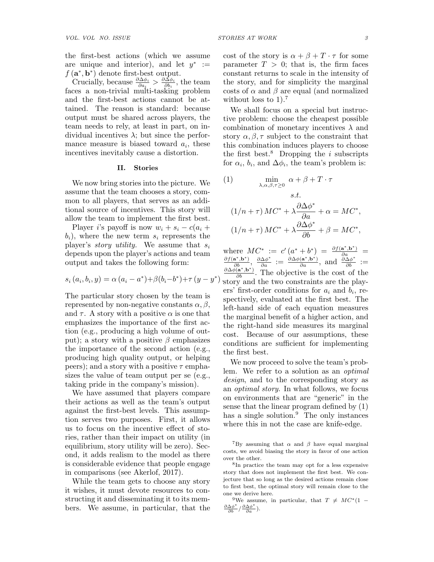the first-best actions (which we assume are unique and interior), and let  $y^* :=$  $f(\mathbf{a}^*, \mathbf{b}^*)$  denote first-best output.

Crucially, because  $\frac{\partial \Delta \phi_i}{\partial a_i} > \frac{\partial \Delta \phi_i}{\partial b_i}$  $\frac{\partial \Delta \phi_i}{\partial b_i}$ , the team faces a non-trivial multi-tasking problem and the first-best actions cannot be attained. The reason is standard: because output must be shared across players, the team needs to rely, at least in part, on individual incentives  $\lambda$ ; but since the performance measure is biased toward  $a_i$ , these incentives inevitably cause a distortion.

### II. Stories

We now bring stories into the picture. We assume that the team chooses a story, common to all players, that serves as an additional source of incentives. This story will allow the team to implement the first best.

Player i's payoff is now  $w_i + s_i - c(a_i +$  $b_i$ , where the new term  $s_i$  represents the player's *story utility*. We assume that  $s_i$ depends upon the player's actions and team output and takes the following form:

$$
s_i(a_i, b_i, y) = \alpha (a_i - a^*) + \beta (b_i - b^*) + \tau (y - y^*)
$$

The particular story chosen by the team is represented by non-negative constants  $\alpha, \beta$ , and  $\tau$ . A story with a positive  $\alpha$  is one that emphasizes the importance of the first action (e.g., producing a high volume of output); a story with a positive  $\beta$  emphasizes the importance of the second action (e.g., producing high quality output, or helping peers); and a story with a positive  $\tau$  emphasizes the value of team output per se (e.g., taking pride in the company's mission).

We have assumed that players compare their actions as well as the team's output against the first-best levels. This assumption serves two purposes. First, it allows us to focus on the incentive effect of stories, rather than their impact on utility (in equilibrium, story utility will be zero). Second, it adds realism to the model as there is considerable evidence that people engage in comparisons (see Akerlof, 2017).

While the team gets to choose any story it wishes, it must devote resources to constructing it and disseminating it to its members. We assume, in particular, that the cost of the story is  $\alpha + \beta + T \cdot \tau$  for some parameter  $T > 0$ ; that is, the firm faces constant returns to scale in the intensity of the story, and for simplicity the marginal costs of  $\alpha$  and  $\beta$  are equal (and normalized without loss to  $1$ ).<sup>7</sup>

We shall focus on a special but instructive problem: choose the cheapest possible combination of monetary incentives  $\lambda$  and story  $\alpha, \beta, \tau$  subject to the constraint that this combination induces players to choose the first best.<sup>8</sup> Dropping the *i* subscripts for  $\alpha_i$ ,  $b_i$ , and  $\Delta \phi_i$ , the team's problem is:

(1) 
$$
\min_{\lambda, \alpha, \beta, \tau \ge 0} \alpha + \beta + T \cdot \tau
$$
  
s.t.  

$$
(1/n + \tau) MC^* + \lambda \frac{\partial \Delta \phi^*}{\partial a} + \alpha = MC^*,
$$

$$
(1/n + \tau) MC^* + \lambda \frac{\partial \Delta \phi^*}{\partial b} + \beta = MC^*,
$$

 $\int$  story and the two constraints are the playwhere  $MC^* := c'(a^* + b^*) = \frac{\partial f(\mathbf{a}^*, \mathbf{b}^*)}{\partial a} = \frac{\partial f(\mathbf{a}^*, \mathbf{b}^*)}{\partial a}, \frac{\partial \Delta \phi^*}{\partial a} := \frac{\partial \Delta \phi(\mathbf{a}^*, \mathbf{b}^*)}{\partial a}, \text{ and } \frac{\partial \Delta \phi^*}{\partial b} := \frac{\partial \Delta \phi(\mathbf{a}^*, \mathbf{b}^*)}{\partial b}.$  The objective is the cost of the ers' first-order conditions for  $a_i$  and  $b_i$ , respectively, evaluated at the first best. The left-hand side of each equation measures the marginal benefit of a higher action, and the right-hand side measures its marginal cost. Because of our assumptions, these conditions are sufficient for implementing the first best.

We now proceed to solve the team's problem. We refer to a solution as an optimal design, and to the corresponding story as an optimal story. In what follows, we focus on environments that are "generic" in the sense that the linear program defined by (1) has a single solution.<sup>9</sup> The only instances where this in not the case are knife-edge.

<sup>9</sup>We assume, in particular, that  $T \neq MC^*(1 \frac{\partial \Delta \phi^*}{\partial b} / \frac{\partial \Delta \phi^*}{\partial a}$ ).

<sup>&</sup>lt;sup>7</sup>By assuming that  $\alpha$  and  $\beta$  have equal marginal costs, we avoid biasing the story in favor of one action over the other.

<sup>8</sup> In practice the team may opt for a less expensive story that does not implement the first best. We conjecture that so long as the desired actions remain close to first best, the optimal story will remain close to the one we derive here.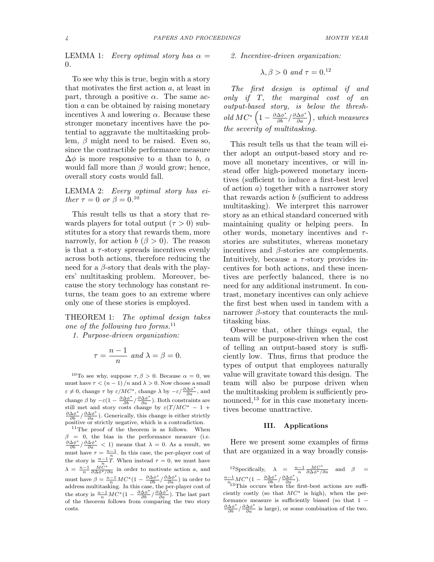LEMMA 1: Every optimal story has  $\alpha =$ 0.

To see why this is true, begin with a story that motivates the first action a, at least in part, through a positive  $\alpha$ . The same action a can be obtained by raising monetary incentives  $\lambda$  and lowering  $\alpha$ . Because these stronger monetary incentives have the potential to aggravate the multitasking problem,  $\beta$  might need to be raised. Even so, since the contractible performance measure  $\Delta\phi$  is more responsive to a than to b,  $\alpha$ would fall more than  $\beta$  would grow; hence, overall story costs would fall.

LEMMA 2: Every optimal story has either  $\tau = 0$  or  $\beta = 0.10$ 

This result tells us that a story that rewards players for total output  $(\tau > 0)$  substitutes for a story that rewards them, more narrowly, for action  $b \ (\beta > 0)$ . The reason is that a  $\tau$ -story spreads incentives evenly across both actions, therefore reducing the need for a  $\beta$ -story that deals with the players' multitasking problem. Moreover, because the story technology has constant returns, the team goes to an extreme where only one of these stories is employed.

THEOREM 1: The optimal design takes one of the following two forms. $^{11}$ 

1. Purpose-driven organization:

$$
\tau = \frac{n-1}{n} \text{ and } \lambda = \beta = 0.
$$

<sup>10</sup>To see why, suppose  $\tau, \beta > 0$ . Because  $\alpha = 0$ , we must have  $\tau < (n-1)/n$  and  $\lambda > 0$ . Now choose a small  $\varepsilon \neq 0$ , change  $\tau$  by  $\varepsilon/MC^*$ , change  $\lambda$  by  $-\varepsilon/\frac{\partial \Delta \phi^*}{\partial a}$ , and change  $\beta$  by  $-\varepsilon(1 - \frac{\partial \Delta \phi^*}{\partial b} / \frac{\partial \Delta \phi^*}{\partial a})$ . Both constraints are still met and story costs change by  $\varepsilon(T/MC^* - 1 +$  $\frac{\partial \Delta \phi^*}{\partial b} / \frac{\partial \Delta \phi^*}{\partial a}$ ). Generically, this change is either strictly positive or strictly negative, which is a contradiction.

<sup>11</sup>The proof of the theorem is as follows. When  $\beta = 0$ , the bias in the performance measure (i.e.  $\frac{\partial \Delta \phi^*}{\partial b} / \frac{\partial \Delta \phi^*}{\partial a}$  < 1) means that  $\lambda = 0$ . As a result, we must have  $\tau = \frac{n-1}{n}$ . In this case, the per-player cost of the story is  $\frac{n-1}{n}T$ . When instead  $\tau = 0$ , we must have  $\lambda = \frac{n-1}{n} \frac{MC^*}{\partial \Delta \phi^*/\partial a}$  in order to motivate action a, and must have  $\beta = \frac{n-1}{n}MC^*(1 - \frac{\partial \Delta \phi^*}{\partial b} / \frac{\partial \Delta \phi^*}{\partial a})$  in order to address multitasking. In this case, the per-player cost of the story is  $\frac{n-1}{n}MC^*(1-\frac{\partial \Delta \phi^*}{\partial b})\frac{\partial \Delta \phi^*}{\partial a})$ . The last part of the theorem follows from comparing the two story costs.

2. Incentive-driven organization:

$$
\lambda, \beta > 0 \text{ and } \tau = 0.^{12}
$$

The first design is optimal if and only if T, the marginal cost of an output-based story, is below the threshold  $MC^* \left(1 - \frac{\partial \Delta \phi^*}{\partial b} / \frac{\partial \Delta \phi^*}{\partial a}\right)$ , which measures the severity of multitasking.

This result tells us that the team will either adopt an output-based story and remove all monetary incentives, or will instead offer high-powered monetary incentives (sufficient to induce a first-best level of action  $a$ ) together with a narrower story that rewards action  $b$  (sufficient to address multitasking). We interpret this narrower story as an ethical standard concerned with maintaining quality or helping peers. In other words, monetary incentives and  $\tau$ stories are substitutes, whereas monetary incentives and  $\beta$ -stories are complements. Intuitively, because a  $\tau$ -story provides incentives for both actions, and these incentives are perfectly balanced, there is no need for any additional instrument. In contrast, monetary incentives can only achieve the first best when used in tandem with a narrower  $\beta$ -story that counteracts the multitasking bias.

Observe that, other things equal, the team will be purpose-driven when the cost of telling an output-based story is sufficiently low. Thus, firms that produce the types of output that employees naturally value will gravitate toward this design. The team will also be purpose driven when the multitasking problem is sufficiently pronounced, $^{13}$  for in this case monetary incentives become unattractive.

### III. Applications

Here we present some examples of firms that are organized in a way broadly consis-

<sup>12</sup>Specifically,  $\lambda = \frac{n-1}{n} \frac{MC^*}{\partial \Delta \phi^*/\partial a}$  and  $\beta = \frac{n-1}{n_1}MC^*(1 - \frac{\partial \Delta \phi^*}{\partial b}/\frac{\partial \Delta \phi^*}{\partial a})$ .<br><sup>n</sup><sub>13</sub>This occurs when the first-best actions are suffi-

ciently costly (so that  $MC^*$  is high), when the performance measure is sufficiently biased (so that 1 −  $\frac{\partial \Delta \phi^*}{\partial b} / \frac{\partial \Delta \phi^*}{\partial a}$  is large), or some combination of the two.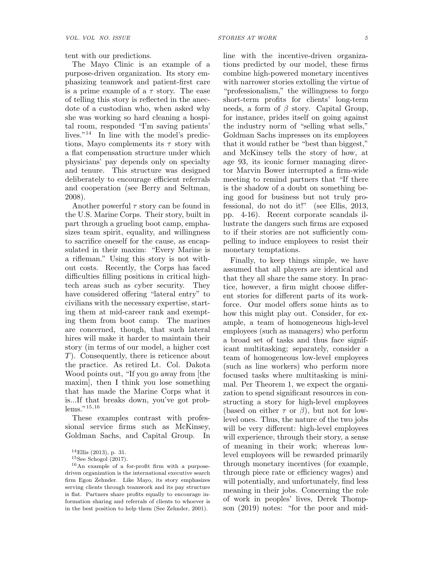tent with our predictions.

The Mayo Clinic is an example of a purpose-driven organization. Its story emphasizing teamwork and patient-first care is a prime example of a  $\tau$  story. The ease of telling this story is reflected in the anecdote of a custodian who, when asked why she was working so hard cleaning a hospital room, responded "I'm saving patients' lives."<sup>14</sup> In line with the model's predictions, Mayo complements its  $\tau$  story with a flat compensation structure under which physicians' pay depends only on specialty and tenure. This structure was designed deliberately to encourage efficient referrals and cooperation (see Berry and Seltman, 2008).

Another powerful  $\tau$  story can be found in the U.S. Marine Corps. Their story, built in part through a grueling boot camp, emphasizes team spirit, equality, and willingness to sacrifice oneself for the cause, as encapsulated in their maxim: "Every Marine is a rifleman." Using this story is not without costs. Recently, the Corps has faced difficulties filling positions in critical hightech areas such as cyber security. They have considered offering "lateral entry" to civilians with the necessary expertise, starting them at mid-career rank and exempting them from boot camp. The marines are concerned, though, that such lateral hires will make it harder to maintain their story (in terms of our model, a higher cost T). Consequently, there is reticence about the practice. As retired Lt. Col. Dakota Wood points out, "If you go away from [the maxim], then I think you lose something that has made the Marine Corps what it is...If that breaks down, you've got problems."<sup>15,16</sup>

These examples contrast with professional service firms such as McKinsey, Goldman Sachs, and Capital Group. In

 $16$ An example of a for-profit firm with a purposedriven organization is the international executive search firm Egon Zehnder. Like Mayo, its story emphasizes serving clients through teamwork and its pay structure is flat. Partners share profits equally to encourage information sharing and referrals of clients to whoever is in the best position to help them (See Zehnder, 2001).

line with the incentive-driven organizations predicted by our model, these firms combine high-powered monetary incentives with narrower stories extolling the virtue of "professionalism," the willingness to forgo short-term profits for clients' long-term needs, a form of  $\beta$  story. Capital Group, for instance, prides itself on going against the industry norm of "selling what sells," Goldman Sachs impresses on its employees that it would rather be "best than biggest," and McKinsey tells the story of how, at age 93, its iconic former managing director Marvin Bower interrupted a firm-wide meeting to remind partners that "If there is the shadow of a doubt on something being good for business but not truly professional, do not do it!" (see Ellis, 2013, pp. 4-16). Recent corporate scandals illustrate the dangers such firms are exposed to if their stories are not sufficiently compelling to induce employees to resist their monetary temptations.

Finally, to keep things simple, we have assumed that all players are identical and that they all share the same story. In practice, however, a firm might choose different stories for different parts of its workforce. Our model offers some hints as to how this might play out. Consider, for example, a team of homogeneous high-level employees (such as managers) who perform a broad set of tasks and thus face significant multitasking; separately, consider a team of homogeneous low-level employees (such as line workers) who perform more focused tasks where multitasking is minimal. Per Theorem 1, we expect the organization to spend significant resources in constructing a story for high-level employees (based on either  $\tau$  or  $\beta$ ), but not for lowlevel ones. Thus, the nature of the two jobs will be very different: high-level employees will experience, through their story, a sense of meaning in their work; whereas lowlevel employees will be rewarded primarily through monetary incentives (for example, through piece rate or efficiency wages) and will potentially, and unfortunately, find less meaning in their jobs. Concerning the role of work in peoples' lives, Derek Thompson (2019) notes: "for the poor and mid-

<sup>14</sup>Ellis (2013), p. 31.

 $15$ See Schogol  $(2017)$ .